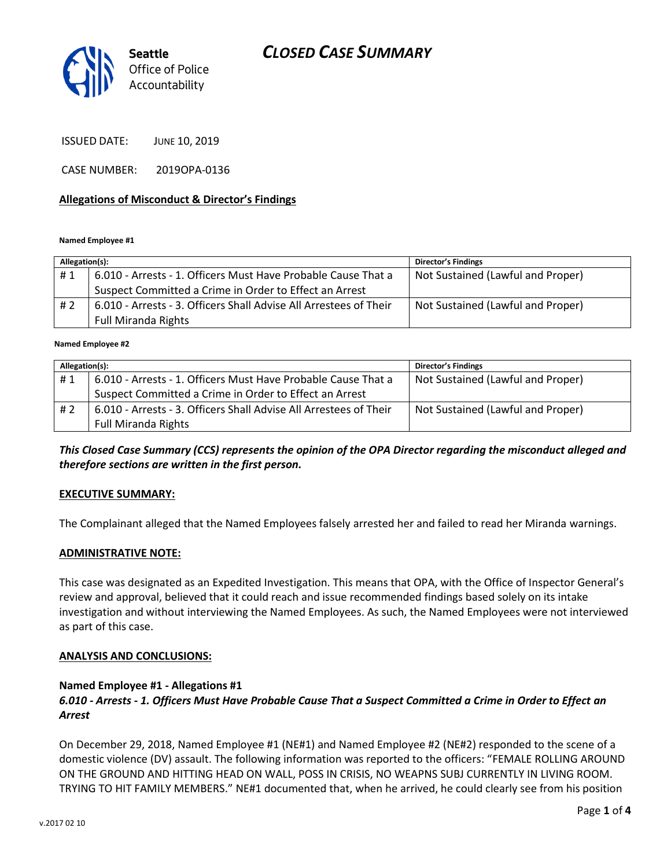

ISSUED DATE: JUNE 10, 2019

CASE NUMBER: 2019OPA-0136

### **Allegations of Misconduct & Director's Findings**

**Named Employee #1**

| Allegation(s): |                                                                   | <b>Director's Findings</b>        |
|----------------|-------------------------------------------------------------------|-----------------------------------|
| #1             | 6.010 - Arrests - 1. Officers Must Have Probable Cause That a     | Not Sustained (Lawful and Proper) |
|                | Suspect Committed a Crime in Order to Effect an Arrest            |                                   |
| #2             | 6.010 - Arrests - 3. Officers Shall Advise All Arrestees of Their | Not Sustained (Lawful and Proper) |
|                | <b>Full Miranda Rights</b>                                        |                                   |
|                |                                                                   |                                   |

**Named Employee #2**

| Allegation(s): |                                                                   | <b>Director's Findings</b>        |
|----------------|-------------------------------------------------------------------|-----------------------------------|
| #1             | 6.010 - Arrests - 1. Officers Must Have Probable Cause That a     | Not Sustained (Lawful and Proper) |
|                | Suspect Committed a Crime in Order to Effect an Arrest            |                                   |
| #2             | 6.010 - Arrests - 3. Officers Shall Advise All Arrestees of Their | Not Sustained (Lawful and Proper) |
|                | <b>Full Miranda Rights</b>                                        |                                   |

*This Closed Case Summary (CCS) represents the opinion of the OPA Director regarding the misconduct alleged and therefore sections are written in the first person.* 

### **EXECUTIVE SUMMARY:**

The Complainant alleged that the Named Employees falsely arrested her and failed to read her Miranda warnings.

#### **ADMINISTRATIVE NOTE:**

This case was designated as an Expedited Investigation. This means that OPA, with the Office of Inspector General's review and approval, believed that it could reach and issue recommended findings based solely on its intake investigation and without interviewing the Named Employees. As such, the Named Employees were not interviewed as part of this case.

### **ANALYSIS AND CONCLUSIONS:**

#### **Named Employee #1 - Allegations #1**

## *6.010 - Arrests - 1. Officers Must Have Probable Cause That a Suspect Committed a Crime in Order to Effect an Arrest*

On December 29, 2018, Named Employee #1 (NE#1) and Named Employee #2 (NE#2) responded to the scene of a domestic violence (DV) assault. The following information was reported to the officers: "FEMALE ROLLING AROUND ON THE GROUND AND HITTING HEAD ON WALL, POSS IN CRISIS, NO WEAPNS SUBJ CURRENTLY IN LIVING ROOM. TRYING TO HIT FAMILY MEMBERS." NE#1 documented that, when he arrived, he could clearly see from his position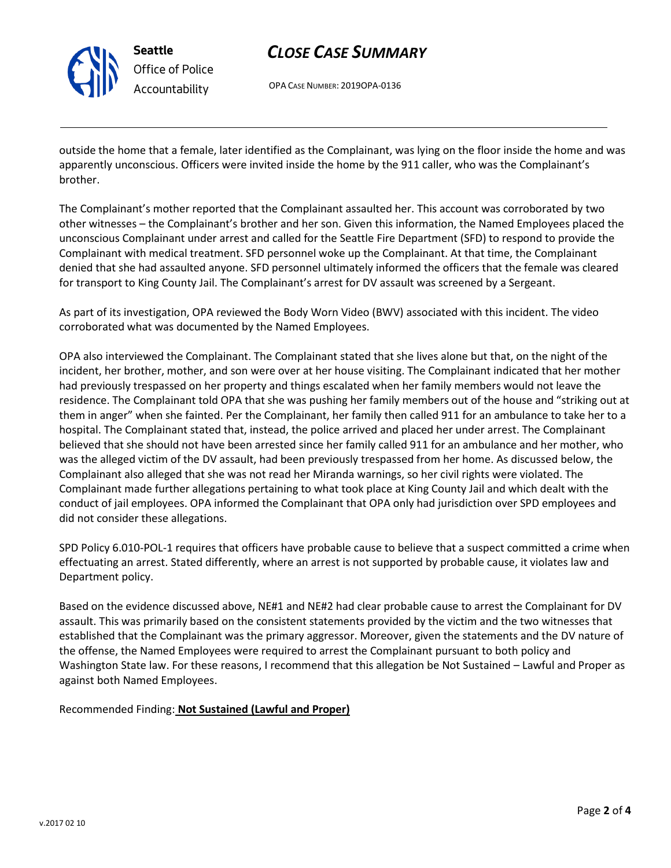

**Seattle** *Office of Police Accountability*

# *CLOSE CASE SUMMARY*

OPA CASE NUMBER: 2019OPA-0136

outside the home that a female, later identified as the Complainant, was lying on the floor inside the home and was apparently unconscious. Officers were invited inside the home by the 911 caller, who was the Complainant's brother.

The Complainant's mother reported that the Complainant assaulted her. This account was corroborated by two other witnesses – the Complainant's brother and her son. Given this information, the Named Employees placed the unconscious Complainant under arrest and called for the Seattle Fire Department (SFD) to respond to provide the Complainant with medical treatment. SFD personnel woke up the Complainant. At that time, the Complainant denied that she had assaulted anyone. SFD personnel ultimately informed the officers that the female was cleared for transport to King County Jail. The Complainant's arrest for DV assault was screened by a Sergeant.

As part of its investigation, OPA reviewed the Body Worn Video (BWV) associated with this incident. The video corroborated what was documented by the Named Employees.

OPA also interviewed the Complainant. The Complainant stated that she lives alone but that, on the night of the incident, her brother, mother, and son were over at her house visiting. The Complainant indicated that her mother had previously trespassed on her property and things escalated when her family members would not leave the residence. The Complainant told OPA that she was pushing her family members out of the house and "striking out at them in anger" when she fainted. Per the Complainant, her family then called 911 for an ambulance to take her to a hospital. The Complainant stated that, instead, the police arrived and placed her under arrest. The Complainant believed that she should not have been arrested since her family called 911 for an ambulance and her mother, who was the alleged victim of the DV assault, had been previously trespassed from her home. As discussed below, the Complainant also alleged that she was not read her Miranda warnings, so her civil rights were violated. The Complainant made further allegations pertaining to what took place at King County Jail and which dealt with the conduct of jail employees. OPA informed the Complainant that OPA only had jurisdiction over SPD employees and did not consider these allegations.

SPD Policy 6.010-POL-1 requires that officers have probable cause to believe that a suspect committed a crime when effectuating an arrest. Stated differently, where an arrest is not supported by probable cause, it violates law and Department policy.

Based on the evidence discussed above, NE#1 and NE#2 had clear probable cause to arrest the Complainant for DV assault. This was primarily based on the consistent statements provided by the victim and the two witnesses that established that the Complainant was the primary aggressor. Moreover, given the statements and the DV nature of the offense, the Named Employees were required to arrest the Complainant pursuant to both policy and Washington State law. For these reasons, I recommend that this allegation be Not Sustained – Lawful and Proper as against both Named Employees.

Recommended Finding: **Not Sustained (Lawful and Proper)**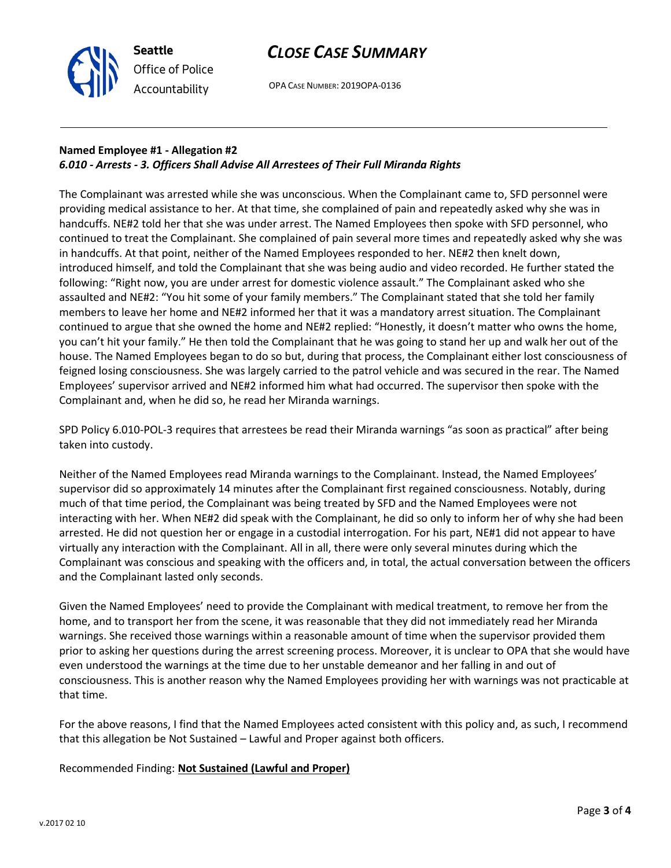

OPA CASE NUMBER: 2019OPA-0136

## **Named Employee #1 - Allegation #2** *6.010 - Arrests - 3. Officers Shall Advise All Arrestees of Their Full Miranda Rights*

**Seattle**

*Office of Police Accountability*

The Complainant was arrested while she was unconscious. When the Complainant came to, SFD personnel were providing medical assistance to her. At that time, she complained of pain and repeatedly asked why she was in handcuffs. NE#2 told her that she was under arrest. The Named Employees then spoke with SFD personnel, who continued to treat the Complainant. She complained of pain several more times and repeatedly asked why she was in handcuffs. At that point, neither of the Named Employees responded to her. NE#2 then knelt down, introduced himself, and told the Complainant that she was being audio and video recorded. He further stated the following: "Right now, you are under arrest for domestic violence assault." The Complainant asked who she assaulted and NE#2: "You hit some of your family members." The Complainant stated that she told her family members to leave her home and NE#2 informed her that it was a mandatory arrest situation. The Complainant continued to argue that she owned the home and NE#2 replied: "Honestly, it doesn't matter who owns the home, you can't hit your family." He then told the Complainant that he was going to stand her up and walk her out of the house. The Named Employees began to do so but, during that process, the Complainant either lost consciousness of feigned losing consciousness. She was largely carried to the patrol vehicle and was secured in the rear. The Named Employees' supervisor arrived and NE#2 informed him what had occurred. The supervisor then spoke with the Complainant and, when he did so, he read her Miranda warnings.

SPD Policy 6.010-POL-3 requires that arrestees be read their Miranda warnings "as soon as practical" after being taken into custody.

Neither of the Named Employees read Miranda warnings to the Complainant. Instead, the Named Employees' supervisor did so approximately 14 minutes after the Complainant first regained consciousness. Notably, during much of that time period, the Complainant was being treated by SFD and the Named Employees were not interacting with her. When NE#2 did speak with the Complainant, he did so only to inform her of why she had been arrested. He did not question her or engage in a custodial interrogation. For his part, NE#1 did not appear to have virtually any interaction with the Complainant. All in all, there were only several minutes during which the Complainant was conscious and speaking with the officers and, in total, the actual conversation between the officers and the Complainant lasted only seconds.

Given the Named Employees' need to provide the Complainant with medical treatment, to remove her from the home, and to transport her from the scene, it was reasonable that they did not immediately read her Miranda warnings. She received those warnings within a reasonable amount of time when the supervisor provided them prior to asking her questions during the arrest screening process. Moreover, it is unclear to OPA that she would have even understood the warnings at the time due to her unstable demeanor and her falling in and out of consciousness. This is another reason why the Named Employees providing her with warnings was not practicable at that time.

For the above reasons, I find that the Named Employees acted consistent with this policy and, as such, I recommend that this allegation be Not Sustained – Lawful and Proper against both officers.

Recommended Finding: **Not Sustained (Lawful and Proper)**